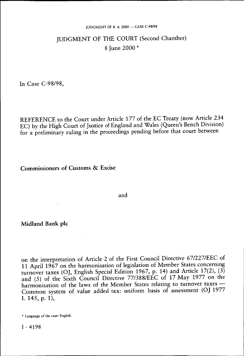#### JUDGMENT OF 8. *6.* 2000 — CASE C-98/98

## JUDGMENT OF THE COURT (Second Chamber) 8 June 2000 \*

In Case C-98/98,

REFERENCE to the Court under Article 177 of the EC Treaty (now Article 234 EC) by the High Court of Justice of England and Wales (Queen's Bench Division) for a preliminary ruling in the proceedings pending before that court between

**Commissioners of Customs & Excise** 

and

**Midland Bank plc** 

on the interpretation of Article 2 of the First Council Directive 67/227/EEC of 11 April 1967 on the harmonisation of legislation of Member States concerning turnover taxes (OJ, English Special Edition 1967, p. 14) and Article 17(2), (3) and (5) of the Sixth Council Directive 77/388/EEC of 17 May 1977 on the harmonisation of the laws of the Member States relating to turnover taxes — Common system of value added tax: uniform basis of assessment (OJ 1977 L 145, p. 1).

<sup>\*</sup> Language of the case: English.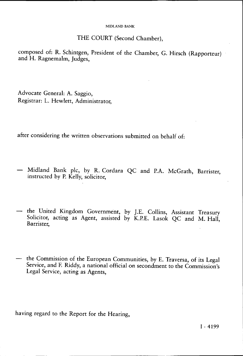## THE COURT (Second Chamber),

composed of: R. Schintgen, President of the Chamber, G. Hirsch (Rapporteur) and H. Ragnemalm, Judges,

Advocate General: A. Saggio, Registrar: L. Hewlett, Administrator,

after considering the written observations submitted on behalf of:

- Midland Bank pic, by R. Cordara QC and RA. McGrath, Barrister, instructed by P. Kelly, solicitor,
- the United Kingdom Government, by J.E. Collins, Assistant Treasury Solicitor, acting as Agent, assisted by K.P.E. Lasok QC and M. Hall, Barrister,
- the Commission of the European Communities, by E. Traversa, of its Legal Service, and F. Riddy, a national official on secondment to the Commission's Legal Service, acting as Agents,

having regard to the Report for the Hearing,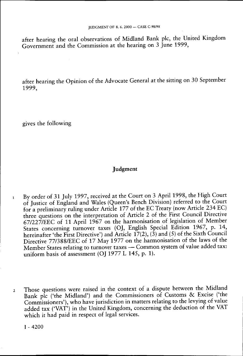after hearing the oral observations of Midland Bank pic, the United Kingdom Government and the Commission at the hearing on 3 June 1999,

after hearing the Opinion of the Advocate General at the sitting on 30 September 1999,

gives the following

## Judgment

- 1 By order of 31 July 1997, received at the Court on 3 April 1998, the High Court of Justice of England and Wales (Queen's Bench Division) referred to the Court for a preliminary ruling under Article 177 of the EC Treaty (now Article 234 EC) three questions on the interpretation of Article 2 of the First Council Directive 67/227/EEC of 11 April 1967 on the harmonisation of legislation of Member States concerning turnover taxes (OJ, English Special Edition 1967, p. 14, hereinafter 'the First Directive') and Article 17(2), (3) and (5) of the Sixth Council Directive 77/388/EEC of 17 May 1977 on the harmonisation of the laws of the Member States relating to turnover taxes — Common system of value added tax: uniform basis of assessment (OJ 1977 L 145, p. 1).
- 2 Those questions were raised in the context of a dispute between the Midland Bank plc ('the Midland') and the Commissioners of Customs & Excise ('the Commissioners'), who have jurisdiction in matters relating to the levying of value added tax ('VAT') in the United Kingdom, concerning the deduction of the VAT which it had paid in respect of legal services.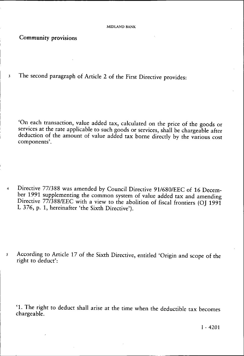Community provisions

3 The second paragraph of Article 2 of the First Directive provides:

'On each transaction, value added tax, calculated on the price of the goods or services at the rate applicable to such goods or services, shall be chargeable after deduction of the amount of value added tax borne directly by the various cost components'.

4 Directive 77/388 was amended by Council Directive 91/680/EEC of 16 December 1991 supplementing the common system of value added tax and amending Directive 77/388/EEC with a view to the abolition of fiscal frontiers (OJ 1991) L 376, p. 1, hereinafter 'the Sixth Directive').

5 According to Article 17 of the Sixth Directive, entitled 'Origin and scope of the right to deduct':

'1. The right to deduct shall arise at the time when the deductible tax becomes chargeable.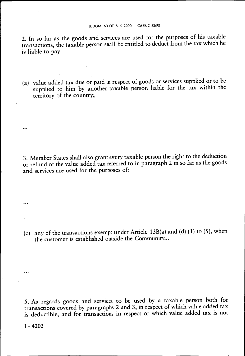2. In so far as the goods and services are used for the purposes of his taxable transactions, the taxable person shall be entitled to deduct from the tax which he is liable to pay:

(a) value added tax due or paid in respect of goods or services supplied or to be supplied to him by another taxable person liable for the tax within the territory of the country;

3. Member States shall also grant every taxable person the right to the deduction or refund of the value added tax referred to in paragraph 2 in so far as the goods and services are used for the purposes of:

(c) any of the transactions exempt under Article 13B(a) and (d) (1) to (5), when the customer is established outside the Community...

5. As regards goods and services to be used by a taxable person both for transactions covered by paragraphs 2 and 3, in respect of which value added tax is deductible, and for transactions in respect of which value added tax is not

I - 4202

...

 $\ddotsc$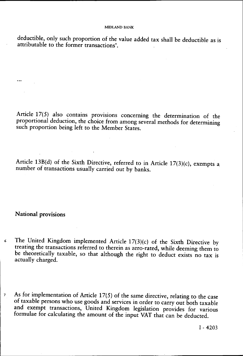deductible, only such proportion of the value added tax shall be deductible as is attributable to the former transactions'.

Article 17(5) also contains provisions concerning the determination of the proportional deduction, the choice from among several methods for determining such proportion being left to the Member States.

Article 13B(d) of the Sixth Directive, referred to in Article 17(3)(c), exempts a number of transactions usually carried out by banks.

**National provisions** 

 $\ddotsc$ 

- *6* The United Kingdom implemented Article 17(3)(c) of the Sixth Directive by treating the transactions referred to therein as zero-rated, while deeming them to be theoretically taxable, so that although the right to deduct exists no tax is actually charged.
- 7 As for implementation of Article 17(5) of the same directive, relating to the case of taxable persons who use goods and services in order to carry out both taxable and exempt transactions, United Kingdom legislation provides for various formulae for calculating the amount of the input VAT that can be deducted.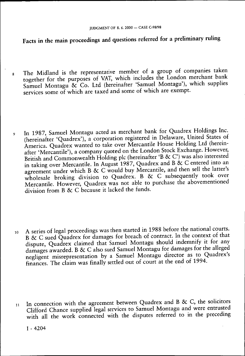# Facts in the main proceedings and questions referred for a preliminary ruling

- 8 The Midland is the representative member of a group of companies taken together for the purposes of VAT, which includes the London merchant bank Samuel Montagu & Co. Ltd (hereinafter 'Samuel Montagu'), which supplies services some of which are taxed and some of which are exempt.
- 9 In 1987, Samuel Montagu acted as merchant bank for Quadrex Holdings Inc (hereinafter 'Quadrex'), a corporation registered in Delaware, United States of America. Quadrex wanted to take over Mercantile House Holding Ltd (hereinafter 'Mercantile'), a company quoted on the London Stock Exchange. However, British and Commonwealth Holding pic (hereinafter 'B *&* C') was also interested in taking over Mercantile. In August 1987, Quadrex and B & C entered into an agreement under which B & C would buy Mercantile, and then sell the latter's wholesale broking division to Quadrex. B & C subsequently took over Mercantile. However, Quadrex was not able to purchase the abovementioned division from B *&* C because it lacked the funds.
- 10 A series of legal proceedings was then started in 1988 before the national courts. B *& C* sued Quadrex for damages for breach of contract. In the context of that dispute, Quadrex claimed that Samuel Montagu should indemnify it for any damages awarded. B & C also sued Samuel Montagu for damages for the alleged negligent misrepresentation by a Samuel Montagu director as to Quadrex's finances. The claim was finally settled out of court at the end of 1994.
- 11 In connection with the agreement between Quadrex and B & C, the solicitors Clifford Chance supplied legal services to Samuel Montagu and were entrusted with all the work connected with the disputes referred to in the preceding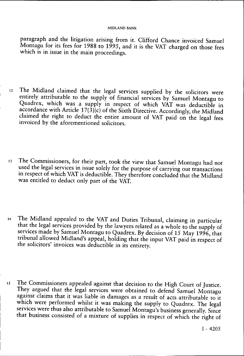paragraph and the litigation arising from it. Clifford Chance invoiced Samuel Montagu for its fees for 1988 to 1995, and it is the VAT charged on those fees which is in issue in the main proceedings.

- 12 The Midland claimed that the legal services supplied by the solicitors were entirely attributable to the supply of financial services by Samuel Montagu to Quadrex, which was a supply in respect of which VAT was deductible in accordance with Article  $17(3)(c)$  of the Sixth Directive. Accordingly, the Midland claimed the right to deduct the entire amount of VAT paid on the legal fees invoiced by the aforementioned solicitors.
- <sup>13</sup> The Commissioners, for their part, took the view that Samuel Montagu had not used the legal services in issue solely for the purpose of carrying out transactions in respect of which VAT is deductible. They therefore concluded that the Midland was entitled to deduct only part of the VAT.
- 14 The Midland appealed to the VAT and Duties Tribunal, claiming in particular that the legal services provided by the lawyers related as a whole to the supply of services made by Samuel Montagu to Quadrex. By decision of 15 May 1996, that tribunal allowed Midland's appeal, holding that the input VAT paid in respect of the solicitors' invoices was deductible in its entirety.
- 15 The Commissioners appealed against that decision to the High Court of Justice. They argued that the legal services were obtained to defend Samuel Montagu against claims that it was liable in damages as a result of acts attributable to it which were performed whilst it was making the supply to Quadrex. The legal services were thus also attributable to Samuel Montagu's business generally. Since that business consisted of a mixture of supplies in respect of which the right of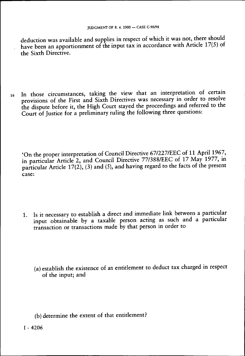deduction was available and supplies in respect of which it was not, there should have been an apportionment of the input tax in accordance with Article 17(5) of the Sixth Directive.

16 In those circumstances, taking the view that an interpretation of certain provisions of the First and Sixth Directives was necessary in order to resolve the dispute before it, the High Court stayed the proceedings and referred to the Court of Justice for a preliminary ruling the following three questions:

'On the proper interpretation of Council Directive 67/227/EEC of 11 April 1967, in particular Article 2, and Council Directive 77/388/EEC of 17 May 1977, in particular Article 17(2), (3) and (5), and having regard to the facts of the present case:

- 1. Is it necessary to establish a direct and immediate link between a particular input obtainable by a taxable person acting as such and a particular transaction or transactions made by that person in order to
	- (a) establish the existence of an entitlement to deduct tax charged in respect of the input; and

(b) determine the extent of that entitlement?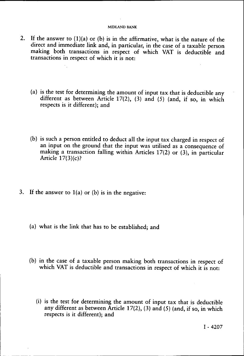- 2. If the answer to  $(1)(a)$  or  $(b)$  is in the affirmative, what is the nature of the direct and immediate link and, in particular, in the case of a taxable person making both transactions in respect of which VAT is deductible and transactions in respect of which it is not:
	- (a) is the test for determining the amount of input tax that is deductible any different as between Article 17(2), (3) and (5) (and, if so, in which respects is it different); and
	- (b) is such a person entitled to deduct all the input tax charged in respect of an input on the ground that the input was utilised as a consequence of making a transaction falling within Articles 17(2) or (3), in particular Article 17(3)(c)?
- 3. If the answer to  $1(a)$  or (b) is in the negative:
	- (a) what is the link that has to be established; and
	- (b) in the case of a taxable person making both transactions in respect of which VAT is deductible and transactions in respect of which it is not:
		- (i) is the test for determining the amount of input tax that is deductible any different as between Article  $17(2)$ ,  $(3)$  and  $(5)$  (and, if so, in which respects is it different); and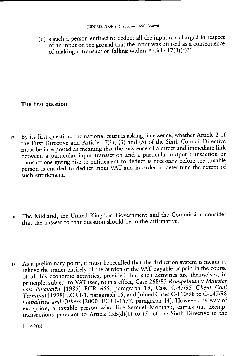(ii) s such a person entitled to deduct all the input tax charged in respect of an input on the ground that the input was utilised as a consequence of making a transaction falling within Article 17(3)(c)?'

## **The first question**

- 17 By its first question, the national court is asking, in essence, whether Article 2 of the First Directive and Article 17(2), (3) and  $(5)$  of the Sixth Council Directive must be interpreted as meaning that the existence of a direct and immediate link between a particular input transaction and a particular output transaction or transactions giving rise to entitlement to deduct is necessary before the taxable person is entitled to deduct input VAT and in order to determine the extent of such entitlement.
- 18 The Midland, the United Kingdom Government and the Commission consider that the answer to that question should be in the affirmative.
- 19 As a preliminary point, it must be recalled that the deduction system is meant to relieve the trader entirely of the burden of the VAT payable or paid in the course of all his economic activities, provided that such activities are themselves, in principle, subject to VAT (see, to this effect, Case 268/83 *Rompelman* v *Minister van Financiën* [1985] ECR 655, paragraph 19, Case C-37/95 *Ghent Coal Terminal* [1998] ECR I-1, paragraph 15, and Joined Cases C-110/98 to C-147/98 *Gabalfrisa and Others* [2000] ECR I-1577, paragraph 44). However, by way of exception, a taxable person who, like Samuel Montagu, carries out exempt transactions pursuant to Article 13B(d)(1) to (5) of the Sixth Directive in the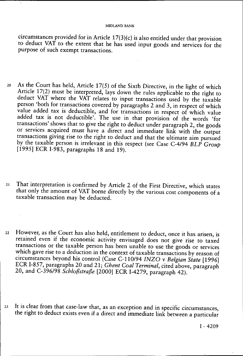circumstances provided for in Article 17(3)(c) is also entitled under that provision to deduct VAT to the extent that he has used input goods and services for the purpose of such exempt transactions.

- $20$  As the Court has held, Article 17(5) of the Sixth Directive, in the light of which Article 17(2) must be interpreted, lays down the rules applicable to the right to deduct VAT where the VAT relates to input transactions used by the taxable person 'both for transactions covered by paragraphs 2 and 3, in respect of which value added tax is deductible, and for transactions in respect of which value added tax is not deductible'. The use in that provision of the words 'for transactions' shows that to give the right to deduct under paragraph 2, the goods or services acquired must have a direct and immediate link with the output transactions giving rise to the right to deduct and that the ultimate aim pursued by the taxable person is irrelevant in this respect (see Case C-4/94 *BLP Group*  [1995] ECR I-983, paragraphs 18 and 19).
- 21 That interpretation is confirmed by Article 2 of the First Directive, which states that only the amount of VAT borne directly by the various cost components of a taxable transaction may be deducted.
- 22 However, as the Court has also held, entitlement to deduct, once it has arisen, is retained even if the economic activity envisaged does not give rise to taxed transactions or the taxable person has been unable to use the goods or services which gave rise to a deduction in the context of taxable transactions by reason of circumstances beyond his control (Case C-110/94 *INZO* v *Belgian State* [1996] ECR I-857, paragraphs 20 and 21; *Ghent Coal Terminal,* cited above, paragraph 20, and C-396/98 *Schloßstraße* [2000] ECR I-4279, paragraph 42).
- 23 It is clear from that case-law that, as an exception and in specific circumstances, the right to deduct exists even if a direct and immediate link between a particular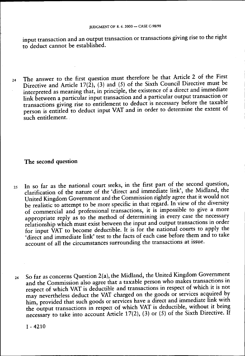input transaction and an output transaction or transactions giving rise to the right to deduct cannot be established.

24 The answer to the first question must therefore be that Article 2 of the First Directive and Article 17(2), (3) and (5) of the Sixth Council Directive must be interpreted as meaning that, in principle, the existence of a direct and immediate link between a particular input transaction and a particular output transaction or transactions giving rise to entitlement to deduct is necessary before the taxable person is entitled to deduct input VAT and in order to determine the extent of such entitlement.

## **The second question**

- 25 In so far as the national court seeks, in the first part of the second question, clarification of the nature of the 'direct and immediate link', the Midland, the United Kingdom Government and the Commission rightly agree that it would not be realistic to attempt to be more specific in that regard. In view of the diversity of commercial and professional transactions, it is impossible to give a more appropriate reply as to the method of determining in every case the necessary relationship which must exist between the input and output transactions in order for input VAT to become deductible. It is for the national courts to apply the 'direct and immediate link' test to the facts of each case before them and to take account of all the circumstances surrounding the transactions at issue.
- 26 So far as concerns Question 2(a), the Midland, the United Kingdom Government and the Commission also agree that a taxable person who makes transactions in respect of which VAT is deductible and transactions in respect of which it is not may nevertheless deduct the VAT charged on the goods or services acquired by him, provided that such goods or services have a direct and immediate link with the output transactions in respect of which VAT is deductible, without it being necessary to take into account Article 17(2), (3) or (5) of the Sixth Directive. If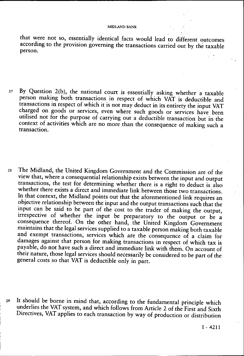that were not so, essentially identical facts would lead to different outcomes according to the provision governing the transactions carried out by the taxable person.

- 27 By Question 2(b), the national court is essentially asking whether a taxable person making both transactions in respect of which VAT is deductible and transactions in respect of which it is not may deduct in its entirety the input VAT charged on goods or services, even where such goods or services have been utilised not for the purpose of carrying out a deductible transaction but in the context of activities which are no more than the consequence of making such a transaction.
- 28 The Midland, the United Kingdom Government and the Commission are of the view that, where a consequential relationship exists between the input and output transactions, the test for determining whether there is a right to deduct is also whether there exists a direct and immediate link between those two transactions. In that context, the Midland points out that the aforementioned link requires an objective relationship between the input and the output transactions such that the input can be said to be part of the cost to the trader of making the output, irrespective of whether the input be preparatory to the output or be a consequence thereof. On the other hand, the United Kingdom Government maintains that the legal services supplied to a taxable person making both taxable and exempt transactions, services which are the consequence of a claim for damages against that person for making transactions in respect of which tax is payable, do not have such a direct and immediate link with them. On account of their nature, those legal services should necessarily be considered to be part of the general costs so that VAT is deductible only in part.
- 29 It should be borne in mind that, according to the fundamental principle which underlies the VAT system, and which follows from Article 2 of the First and Sixth Directives, VAT applies to each transaction by way of production or distribution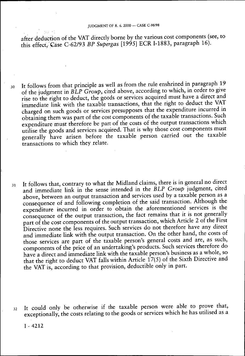after deduction of the VAT directly borne by the various cost components (see, to this effect, Case C-62/93 *BP Supergas* [1995] ECR I-1883, paragraph 16).

- 30 It follows from that principle as well as from the rule enshrined in paragraph 19 of the judgment in *BLP Group,* cited above, according to which, in order to give rise to the right to deduct, the goods or services acquired must have a direct and immediate link with the taxable transactions, that the right to deduct the VAT charged on such goods or services presupposes that the expenditure incurred in obtaining them was part of the cost components of the taxable transactions. Such expenditure must therefore be part of the costs of the output transactions which utilise the goods and services acquired. That is why those cost components must generally have arisen before the taxable person carried out the taxable transactions to which they relate.
- 31 It follows that, contrary to what the Midland claims, there is in general no direct and immediate link in the sense intended in the *BLP Group* judgment, cited above, between an output transaction and services used by a taxable person as a consequence of and following completion of the said transaction. Although the expenditure incurred in order to obtain the aforementioned services is the consequence of the output transaction, the fact remains that it is not generally part of the cost components of the output transaction, which Article 2 of the First Directive none the less requires. Such services do not therefore have any direct and immediate link with the output transaction. On the other hand, the costs of those services are part of the taxable person's general costs and are, as such, components of the price of an undertaking's products. Such services therefore do have a direct and immediate link with the taxable person's business as a whole, so that the right to deduct VAT falls within Article 17(5) of the Sixth Directive and the VAT is, according to that provision, deductible only in part.
- 32 It could only be otherwise if the taxable person were able to prove that, exceptionally, the costs relating to the goods or services which he has utilised as a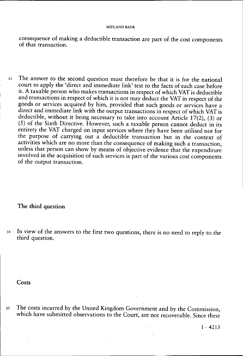consequence of making a deductible transaction are part of the cost components of that transaction.

33 The answer to the second question must therefore be that it is for the national court to apply the 'direct and immediate link' test to the facts of each case before it. A taxable person who makes transactions in respect of which VAT is deductible and transactions in respect of which it is not may deduct the VAT in respect of the goods or services acquired by him, provided that such goods or services have a direct and immediate link with the output transactions in respect of which VAT is deductible, without it being necessary to take into account Article 17(2), (3) or (5) of the Sixth Directive. However, such a taxable person cannot deduct in its entirety the VAT charged on input services where they have been utilised not for the purpose of carrying out a deductible transaction but in the context of activities which are no more than the consequence of making such a transaction, unless that person can show by means of objective evidence that the expenditure involved in the acquisition of such services is part of the various cost components of the output transaction.

**The third question** 

34 In view of the answers to the first two questions, there is no need to reply to the third question.

**Costs** 

35 The costs incurred by the United Kingdom Government and by the Commission, which have submitted observations to the Court, are not recoverable. Since these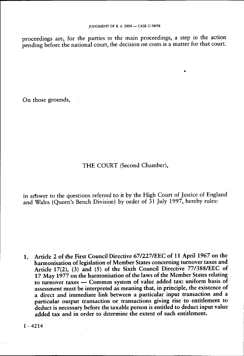proceedings are, for the parties to the main proceedings, a step in the action pending before the national court, the decision on costs is a matter for that court.

On those grounds,

## THE COURT (Second Chamber),

in answer to the questions referred to it by the High Court of Justice of England and Wales (Queen's Bench Division) by order of 31 July 1997, hereby rules:

**1. Article 2 of the First Council Directive 67/227/EEC of 11 April 1967 on the harmonisation of legislation of Member States concerning turnover taxes and Article 17(2), (3) and (5) of the Sixth Council Directive 77/388/EEC of 17 May 1977 on the harmonisation of the laws of the Member States relating to turnover taxes — Common system of value added tax: uniform basis of assessment must be interpreted as meaning that, in principle, the existence of a direct and immediate link between a particular input transaction and a particular output transaction or transactions giving rise to entitlement to deduct is necessary before the taxable person is entitled to deduct input value**  added tax and in order to determine the extent of such entitlement.